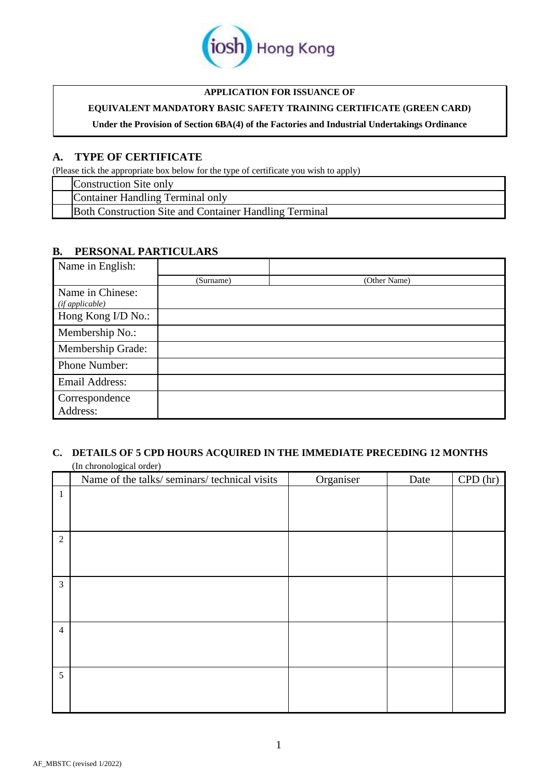

## **APPLICATION FOR ISSUANCE OF**

# **EQUIVALENT MANDATORY BASIC SAFETY TRAINING CERTIFICATE (GREEN CARD)**

**Under the Provision of Section 6BA(4) of the Factories and Industrial Undertakings Ordinance**

# **A. TYPE OF CERTIFICATE**

(Please tick the appropriate box below for the type of certificate you wish to apply)

|  |  | Construction Site only                                 |
|--|--|--------------------------------------------------------|
|  |  | Container Handling Terminal only                       |
|  |  | Both Construction Site and Container Handling Terminal |

# **B. PERSONAL PARTICULARS**

| Name in English:                    |           |              |
|-------------------------------------|-----------|--------------|
|                                     | (Surname) | (Other Name) |
| Name in Chinese:<br>(if applicable) |           |              |
| Hong Kong I/D No.:                  |           |              |
| Membership No.:                     |           |              |
| Membership Grade:                   |           |              |
| Phone Number:                       |           |              |
| Email Address:                      |           |              |
| Correspondence<br>Address:          |           |              |

# **C. DETAILS OF 5 CPD HOURS ACQUIRED IN THE IMMEDIATE PRECEDING 12 MONTHS**

|                | (In chronological order)                      |           |      |         |  |  |  |  |  |
|----------------|-----------------------------------------------|-----------|------|---------|--|--|--|--|--|
|                | Name of the talks/ seminars/ technical visits | Organiser | Date | CPD(hr) |  |  |  |  |  |
| $\mathbf{1}$   |                                               |           |      |         |  |  |  |  |  |
|                |                                               |           |      |         |  |  |  |  |  |
|                |                                               |           |      |         |  |  |  |  |  |
|                |                                               |           |      |         |  |  |  |  |  |
| $\overline{2}$ |                                               |           |      |         |  |  |  |  |  |
|                |                                               |           |      |         |  |  |  |  |  |
|                |                                               |           |      |         |  |  |  |  |  |
| $\mathfrak{Z}$ |                                               |           |      |         |  |  |  |  |  |
|                |                                               |           |      |         |  |  |  |  |  |
|                |                                               |           |      |         |  |  |  |  |  |
|                |                                               |           |      |         |  |  |  |  |  |
| $\overline{4}$ |                                               |           |      |         |  |  |  |  |  |
|                |                                               |           |      |         |  |  |  |  |  |
|                |                                               |           |      |         |  |  |  |  |  |
| 5              |                                               |           |      |         |  |  |  |  |  |
|                |                                               |           |      |         |  |  |  |  |  |
|                |                                               |           |      |         |  |  |  |  |  |
|                |                                               |           |      |         |  |  |  |  |  |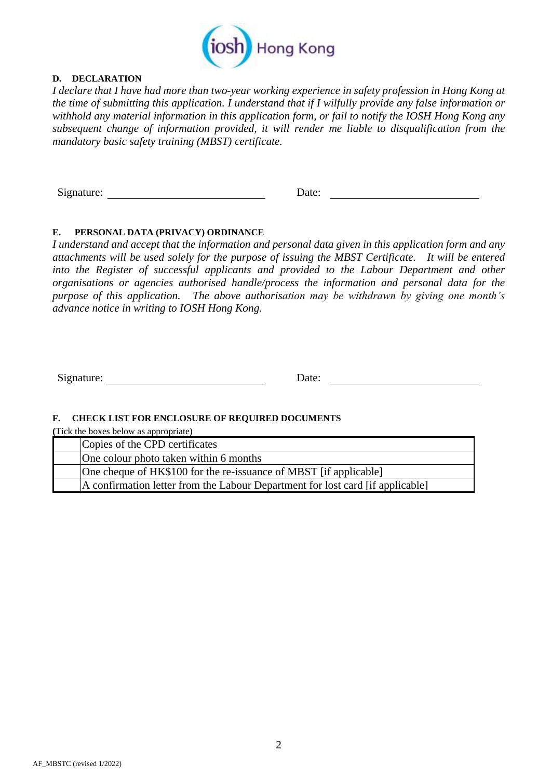

## **D. DECLARATION**

*I declare that I have had more than two-year working experience in safety profession in Hong Kong at the time of submitting this application. I understand that if I wilfully provide any false information or withhold any material information in this application form, or fail to notify the IOSH Hong Kong any subsequent change of information provided, it will render me liable to disqualification from the mandatory basic safety training (MBST) certificate.*

Signature: Date: Date:

# **E. PERSONAL DATA (PRIVACY) ORDINANCE**

*I understand and accept that the information and personal data given in this application form and any attachments will be used solely for the purpose of issuing the MBST Certificate. It will be entered into the Register of successful applicants and provided to the Labour Department and other organisations or agencies authorised handle/process the information and personal data for the purpose of this application. The above authorisation may be withdrawn by giving one month's advance notice in writing to IOSH Hong Kong.*

Signature: Date: Date:

### **F. CHECK LIST FOR ENCLOSURE OF REQUIRED DOCUMENTS**

**(**Tick the boxes below as appropriate)

| Copies of the CPD certificates                                                 |  |
|--------------------------------------------------------------------------------|--|
| One colour photo taken within 6 months                                         |  |
| One cheque of HK\$100 for the re-issuance of MBST [if applicable]              |  |
| A confirmation letter from the Labour Department for lost card [if applicable] |  |